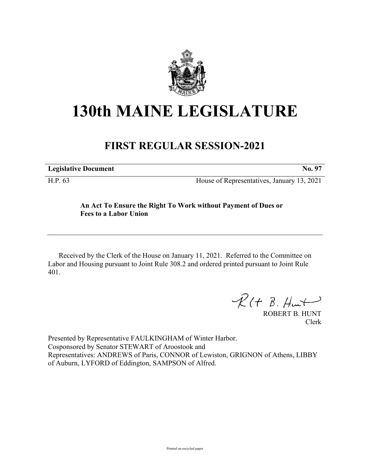

## **130th MAINE LEGISLATURE**

## **FIRST REGULAR SESSION-2021**

| <b>Legislative Document</b> |  |
|-----------------------------|--|
|                             |  |

H.P. 63 House of Representatives, January 13, 2021

## **An Act To Ensure the Right To Work without Payment of Dues or Fees to a Labor Union**

Received by the Clerk of the House on January 11, 2021. Referred to the Committee on Labor and Housing pursuant to Joint Rule 308.2 and ordered printed pursuant to Joint Rule 401.

 $R(H B. H<sub>un</sub>)$ 

ROBERT B. HUNT Clerk

Presented by Representative FAULKINGHAM of Winter Harbor. Cosponsored by Senator STEWART of Aroostook and Representatives: ANDREWS of Paris, CONNOR of Lewiston, GRIGNON of Athens, LIBBY of Auburn, LYFORD of Eddington, SAMPSON of Alfred.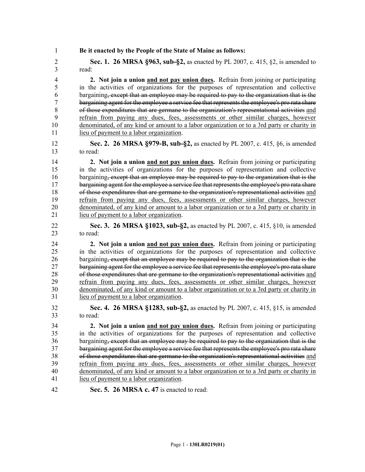- 1 **Be it enacted by the People of the State of Maine as follows:**
- 2 **Sec. 1. 26 MRSA §963, sub-§2,** as enacted by PL 2007, c. 415, §2, is amended to 3 read:

4 **2. Not join a union and not pay union dues.** Refrain from joining or participating 5 in the activities of organizations for the purposes of representation and collective 6 bargaining, except that an employee may be required to pay to the organization that is the 7 bargaining agent for the employee a service fee that represents the employee's pro rata share 8 of those expenditures that are germane to the organization's representational activities and 9 refrain from paying any dues, fees, assessments or other similar charges, however 10 denominated, of any kind or amount to a labor organization or to a 3rd party or charity in 11 lieu of payment to a labor organization.

12 **Sec. 2. 26 MRSA §979-B, sub-§2,** as enacted by PL 2007, c. 415, §6, is amended 13 to read:

14 **2. Not join a union and not pay union dues.** Refrain from joining or participating 15 in the activities of organizations for the purposes of representation and collective 16 bargaining, except that an employee may be required to pay to the organization that is the 17 bargaining agent for the employee a service fee that represents the employee's pro rata share 18 of those expenditures that are germane to the organization's representational activities and 19 refrain from paying any dues, fees, assessments or other similar charges, however 20 denominated, of any kind or amount to a labor organization or to a 3rd party or charity in 21 lieu of payment to a labor organization.

22 **Sec. 3. 26 MRSA §1023, sub-§2,** as enacted by PL 2007, c. 415, §10, is amended 23 to read:

24 **2. Not join a union and not pay union dues.** Refrain from joining or participating 25 in the activities of organizations for the purposes of representation and collective 26 bargaining, except that an employee may be required to pay to the organization that is the 27 bargaining agent for the employee a service fee that represents the employee's pro rata share 28 of those expenditures that are germane to the organization's representational activities and 29 refrain from paying any dues, fees, assessments or other similar charges, however 30 denominated, of any kind or amount to a labor organization or to a 3rd party or charity in 31 lieu of payment to a labor organization.

32 **Sec. 4. 26 MRSA §1283, sub-§2,** as enacted by PL 2007, c. 415, §15, is amended 33 to read:

34 **2. Not join a union and not pay union dues.** Refrain from joining or participating in the activities of organizations for the purposes of representation and collective 36 bargaining, except that an employee may be required to pay to the organization that is the 37 bargaining agent for the employee a service fee that represents the employee's pro rata share 38 of those expenditures that are germane to the organization's representational activities and 39 refrain from paying any dues, fees, assessments or other similar charges, however 40 denominated, of any kind or amount to a labor organization or to a 3rd party or charity in 41 lieu of payment to a labor organization.

42 **Sec. 5. 26 MRSA c. 47** is enacted to read: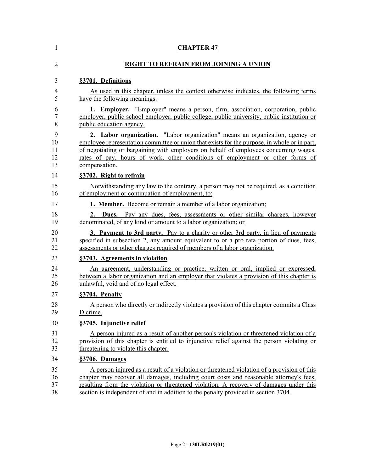| $\mathbf{1}$    | <b>CHAPTER 47</b>                                                                            |
|-----------------|----------------------------------------------------------------------------------------------|
| $\overline{2}$  | RIGHT TO REFRAIN FROM JOINING A UNION                                                        |
| 3               | §3701. Definitions                                                                           |
| 4               | As used in this chapter, unless the context otherwise indicates, the following terms         |
| 5               | have the following meanings.                                                                 |
| 6               | <b>1. Employer.</b> "Employer" means a person, firm, association, corporation, public        |
| 7               | employer, public school employer, public college, public university, public institution or   |
| 8               | public education agency.                                                                     |
| 9               | 2. Labor organization. "Labor organization" means an organization, agency or                 |
| 10              | employee representation committee or union that exists for the purpose, in whole or in part, |
| 11              | of negotiating or bargaining with employers on behalf of employees concerning wages,         |
| 12              | rates of pay, hours of work, other conditions of employment or other forms of                |
| 13              | compensation.                                                                                |
| 14              | §3702. Right to refrain                                                                      |
| 15              | Notwithstanding any law to the contrary, a person may not be required, as a condition        |
| 16              | of employment or continuation of employment, to:                                             |
| 17              | <b>1. Member.</b> Become or remain a member of a labor organization;                         |
| 18              | 2. Dues. Pay any dues, fees, assessments or other similar charges, however                   |
| 19              | denominated, of any kind or amount to a labor organization; or                               |
| 20              | 3. Payment to 3rd party. Pay to a charity or other 3rd party, in lieu of payments            |
| 21              | specified in subsection 2, any amount equivalent to or a pro rata portion of dues, fees,     |
| $\overline{22}$ | assessments or other charges required of members of a labor organization.                    |
| 23              | §3703. Agreements in violation                                                               |
| 24              | An agreement, understanding or practice, written or oral, implied or expressed,              |
| 25              | between a labor organization and an employer that violates a provision of this chapter is    |
| 26              | unlawful, void and of no legal effect.                                                       |
| 27              | §3704. Penalty                                                                               |
| 28              | A person who directly or indirectly violates a provision of this chapter commits a Class     |
| 29              | D crime.                                                                                     |
| 30              | §3705. Injunctive relief                                                                     |
| 31              | A person injured as a result of another person's violation or threatened violation of a      |
| 32              | provision of this chapter is entitled to injunctive relief against the person violating or   |
| 33              | threatening to violate this chapter.                                                         |
| 34              | §3706. Damages                                                                               |
| 35              | A person injured as a result of a violation or threatened violation of a provision of this   |
| 36              | chapter may recover all damages, including court costs and reasonable attorney's fees,       |
| 37              | resulting from the violation or threatened violation. A recovery of damages under this       |
| 38              | section is independent of and in addition to the penalty provided in section 3704.           |